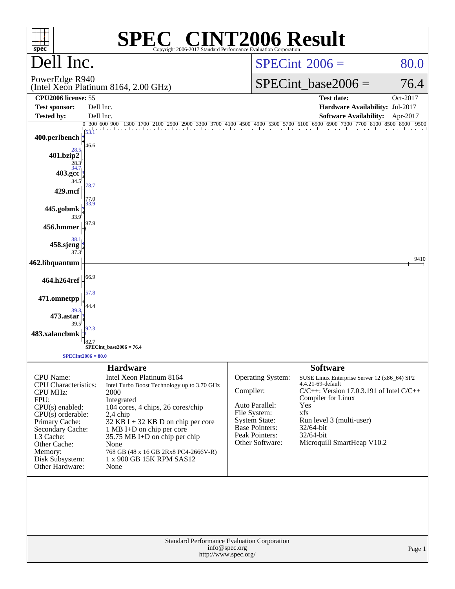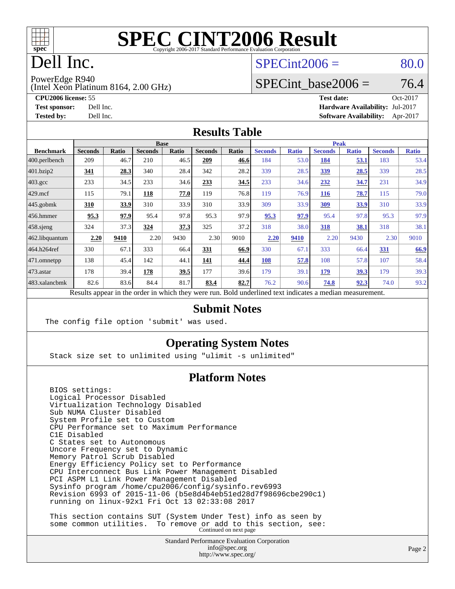

# Dell Inc.

#### $SPECint2006 = 80.0$  $SPECint2006 = 80.0$

PowerEdge R940

(Intel Xeon Platinum 8164, 2.00 GHz)

**[CPU2006 license:](http://www.spec.org/auto/cpu2006/Docs/result-fields.html#CPU2006license)** 55 **[Test date:](http://www.spec.org/auto/cpu2006/Docs/result-fields.html#Testdate)** Oct-2017 **[Test sponsor:](http://www.spec.org/auto/cpu2006/Docs/result-fields.html#Testsponsor)** Dell Inc. **[Hardware Availability:](http://www.spec.org/auto/cpu2006/Docs/result-fields.html#HardwareAvailability)** Jul-2017 **[Tested by:](http://www.spec.org/auto/cpu2006/Docs/result-fields.html#Testedby)** Dell Inc. **[Software Availability:](http://www.spec.org/auto/cpu2006/Docs/result-fields.html#SoftwareAvailability)** Apr-2017

SPECint base2006 =  $76.4$ 

#### **[Results Table](http://www.spec.org/auto/cpu2006/Docs/result-fields.html#ResultsTable)**

| <b>Seconds</b><br><b>Ratio</b><br>184<br>53.0 | <b>Seconds</b>                                    | <b>Ratio</b> | <b>Seconds</b> |              |
|-----------------------------------------------|---------------------------------------------------|--------------|----------------|--------------|
|                                               |                                                   |              |                | <b>Ratio</b> |
|                                               | 184                                               | <u>53.1</u>  | 183            | 53.4         |
| 339<br>28.5                                   | 339                                               | 28.5         | 339            | 28.5         |
| 233<br>34.6                                   | 232                                               | 34.7         | 231            | 34.9         |
| 119<br>76.9                                   | <u>116</u>                                        | 78.7         | 115            | 79.0         |
| 309<br>33.9                                   | 309                                               | <u>33.9</u>  | 310            | 33.9         |
| 95.3<br>97.9                                  | 95.4                                              | 97.8         | 95.3           | 97.9         |
| 318<br>38.0                                   | 318                                               | 38.1         | 318            | 38.1         |
| 2.20<br>9410                                  | 2.20                                              | 9430         | 2.30           | 9010         |
| 330<br>67.1                                   | 333                                               | 66.4         | 331            | 66.9         |
| 57.8<br>108                                   | 108                                               | 57.8         | 107            | 58.4         |
| 179<br>39.1                                   | <u>179</u>                                        | 39.3         | 179            | 39.3         |
| 76.2<br>90.6                                  | 74.8                                              | <u>92.3</u>  | 74.0           | 93.2         |
|                                               | $\sim$ $\sim$ $\sim$<br>$1 \quad 1 \quad 1 \quad$ | $\cdot$      |                |              |

Results appear in the [order in which they were run.](http://www.spec.org/auto/cpu2006/Docs/result-fields.html#RunOrder) Bold underlined text [indicates a median measurement.](http://www.spec.org/auto/cpu2006/Docs/result-fields.html#Median)

#### **[Submit Notes](http://www.spec.org/auto/cpu2006/Docs/result-fields.html#SubmitNotes)**

The config file option 'submit' was used.

#### **[Operating System Notes](http://www.spec.org/auto/cpu2006/Docs/result-fields.html#OperatingSystemNotes)**

Stack size set to unlimited using "ulimit -s unlimited"

#### **[Platform Notes](http://www.spec.org/auto/cpu2006/Docs/result-fields.html#PlatformNotes)**

 BIOS settings: Logical Processor Disabled Virtualization Technology Disabled Sub NUMA Cluster Disabled System Profile set to Custom CPU Performance set to Maximum Performance C1E Disabled C States set to Autonomous Uncore Frequency set to Dynamic Memory Patrol Scrub Disabled Energy Efficiency Policy set to Performance CPU Interconnect Bus Link Power Management Disabled PCI ASPM L1 Link Power Management Disabled Sysinfo program /home/cpu2006/config/sysinfo.rev6993 Revision 6993 of 2015-11-06 (b5e8d4b4eb51ed28d7f98696cbe290c1) running on linux-92x1 Fri Oct 13 02:33:08 2017 This section contains SUT (System Under Test) info as seen by

some common utilities. To remove or add to this section, see:<br>Continued on next page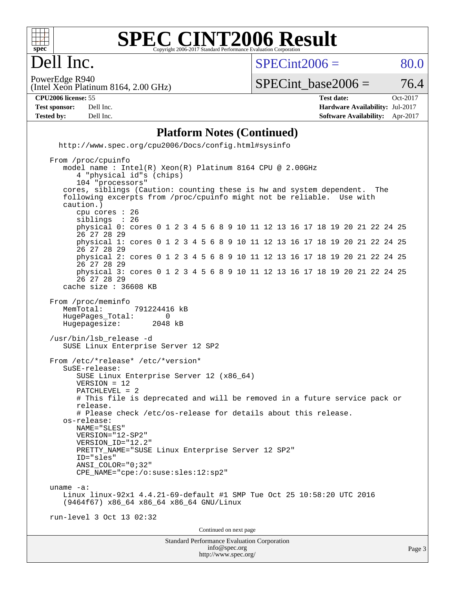

#### **[SPEC CINT2006 Result](http://www.spec.org/auto/cpu2006/Docs/result-fields.html#SPECCINT2006Result)** Copyright 2006-2017 Standard Performance Evaluation Corpor

### Dell Inc.

 $SPECint2006 = 80.0$  $SPECint2006 = 80.0$ 

(Intel Xeon Platinum 8164, 2.00 GHz) PowerEdge R940

SPECint base2006 =  $76.4$ 

**[CPU2006 license:](http://www.spec.org/auto/cpu2006/Docs/result-fields.html#CPU2006license)** 55 **[Test date:](http://www.spec.org/auto/cpu2006/Docs/result-fields.html#Testdate)** Oct-2017 **[Test sponsor:](http://www.spec.org/auto/cpu2006/Docs/result-fields.html#Testsponsor)** Dell Inc. **[Hardware Availability:](http://www.spec.org/auto/cpu2006/Docs/result-fields.html#HardwareAvailability)** Jul-2017 **[Tested by:](http://www.spec.org/auto/cpu2006/Docs/result-fields.html#Testedby)** Dell Inc. **[Software Availability:](http://www.spec.org/auto/cpu2006/Docs/result-fields.html#SoftwareAvailability)** Apr-2017

#### **[Platform Notes \(Continued\)](http://www.spec.org/auto/cpu2006/Docs/result-fields.html#PlatformNotes)**

 <http://www.spec.org/cpu2006/Docs/config.html#sysinfo> From /proc/cpuinfo

Standard Performance Evaluation Corporation [info@spec.org](mailto:info@spec.org) model name : Intel(R) Xeon(R) Platinum 8164 CPU @ 2.00GHz 4 "physical id"s (chips) 104 "processors" cores, siblings (Caution: counting these is hw and system dependent. The following excerpts from /proc/cpuinfo might not be reliable. Use with caution.) cpu cores : 26 siblings physical 0: cores 0 1 2 3 4 5 6 8 9 10 11 12 13 16 17 18 19 20 21 22 24 25 26 27 28 29 physical 1: cores 0 1 2 3 4 5 6 8 9 10 11 12 13 16 17 18 19 20 21 22 24 25 26 27 28 29 physical 2: cores 0 1 2 3 4 5 6 8 9 10 11 12 13 16 17 18 19 20 21 22 24 25 26 27 28 29 physical 3: cores 0 1 2 3 4 5 6 8 9 10 11 12 13 16 17 18 19 20 21 22 24 25 26 27 28 29 cache size : 36608 KB From /proc/meminfo MemTotal: 791224416 kB HugePages\_Total: 0<br>Hugepagesize: 2048 kB Hugepagesize: /usr/bin/lsb\_release -d SUSE Linux Enterprise Server 12 SP2 From /etc/\*release\* /etc/\*version\* SuSE-release: SUSE Linux Enterprise Server 12 (x86\_64) VERSION = 12 PATCHLEVEL = 2 # This file is deprecated and will be removed in a future service pack or release. # Please check /etc/os-release for details about this release. os-release: NAME="SLES" VERSION="12-SP2" VERSION\_ID="12.2" PRETTY\_NAME="SUSE Linux Enterprise Server 12 SP2" ID="sles" ANSI\_COLOR="0;32" CPE\_NAME="cpe:/o:suse:sles:12:sp2" uname -a: Linux linux-92x1 4.4.21-69-default #1 SMP Tue Oct 25 10:58:20 UTC 2016 (9464f67) x86\_64 x86\_64 x86\_64 GNU/Linux run-level 3 Oct 13 02:32 Continued on next page

<http://www.spec.org/>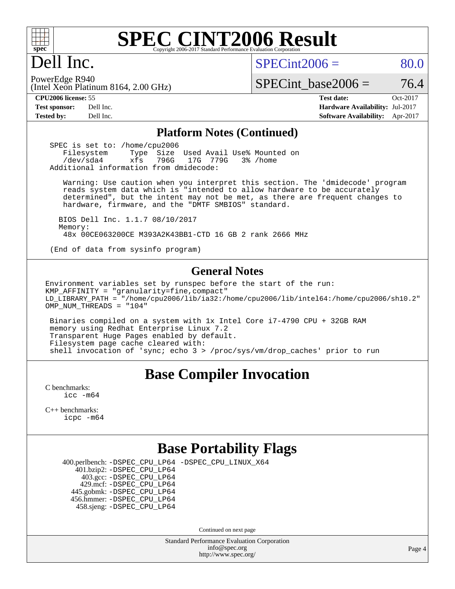

### Dell Inc.

 $SPECint2006 = 80.0$  $SPECint2006 = 80.0$ 

(Intel Xeon Platinum 8164, 2.00 GHz) PowerEdge R940

SPECint base2006 =  $76.4$ 

**[CPU2006 license:](http://www.spec.org/auto/cpu2006/Docs/result-fields.html#CPU2006license)** 55 **[Test date:](http://www.spec.org/auto/cpu2006/Docs/result-fields.html#Testdate)** Oct-2017 **[Test sponsor:](http://www.spec.org/auto/cpu2006/Docs/result-fields.html#Testsponsor)** Dell Inc. **[Hardware Availability:](http://www.spec.org/auto/cpu2006/Docs/result-fields.html#HardwareAvailability)** Jul-2017 **[Tested by:](http://www.spec.org/auto/cpu2006/Docs/result-fields.html#Testedby)** Dell Inc. **[Software Availability:](http://www.spec.org/auto/cpu2006/Docs/result-fields.html#SoftwareAvailability)** Apr-2017

#### **[Platform Notes \(Continued\)](http://www.spec.org/auto/cpu2006/Docs/result-fields.html#PlatformNotes)**

SPEC is set to: /home/cpu2006<br>Filesystem Type Size Type Size Used Avail Use% Mounted on /dev/sda4 xfs 796G 17G 779G 3% /home Additional information from dmidecode:

 Warning: Use caution when you interpret this section. The 'dmidecode' program reads system data which is "intended to allow hardware to be accurately determined", but the intent may not be met, as there are frequent changes to hardware, firmware, and the "DMTF SMBIOS" standard.

 BIOS Dell Inc. 1.1.7 08/10/2017 Memory: 48x 00CE063200CE M393A2K43BB1-CTD 16 GB 2 rank 2666 MHz

(End of data from sysinfo program)

#### **[General Notes](http://www.spec.org/auto/cpu2006/Docs/result-fields.html#GeneralNotes)**

Environment variables set by runspec before the start of the run: KMP AFFINITY = "granularity=fine, compact" LD\_LIBRARY\_PATH = "/home/cpu2006/lib/ia32:/home/cpu2006/lib/intel64:/home/cpu2006/sh10.2" OMP NUM THREADS = "104"

 Binaries compiled on a system with 1x Intel Core i7-4790 CPU + 32GB RAM memory using Redhat Enterprise Linux 7.2 Transparent Huge Pages enabled by default. Filesystem page cache cleared with: shell invocation of 'sync; echo 3 > /proc/sys/vm/drop\_caches' prior to run

#### **[Base Compiler Invocation](http://www.spec.org/auto/cpu2006/Docs/result-fields.html#BaseCompilerInvocation)**

[C benchmarks](http://www.spec.org/auto/cpu2006/Docs/result-fields.html#Cbenchmarks): [icc -m64](http://www.spec.org/cpu2006/results/res2017q4/cpu2006-20171030-50389.flags.html#user_CCbase_intel_icc_64bit_bda6cc9af1fdbb0edc3795bac97ada53)

[C++ benchmarks:](http://www.spec.org/auto/cpu2006/Docs/result-fields.html#CXXbenchmarks) [icpc -m64](http://www.spec.org/cpu2006/results/res2017q4/cpu2006-20171030-50389.flags.html#user_CXXbase_intel_icpc_64bit_fc66a5337ce925472a5c54ad6a0de310)

#### **[Base Portability Flags](http://www.spec.org/auto/cpu2006/Docs/result-fields.html#BasePortabilityFlags)**

400.perlbench: [-DSPEC\\_CPU\\_LP64](http://www.spec.org/cpu2006/results/res2017q4/cpu2006-20171030-50389.flags.html#b400.perlbench_basePORTABILITY_DSPEC_CPU_LP64) [-DSPEC\\_CPU\\_LINUX\\_X64](http://www.spec.org/cpu2006/results/res2017q4/cpu2006-20171030-50389.flags.html#b400.perlbench_baseCPORTABILITY_DSPEC_CPU_LINUX_X64)

 401.bzip2: [-DSPEC\\_CPU\\_LP64](http://www.spec.org/cpu2006/results/res2017q4/cpu2006-20171030-50389.flags.html#suite_basePORTABILITY401_bzip2_DSPEC_CPU_LP64) 403.gcc: [-DSPEC\\_CPU\\_LP64](http://www.spec.org/cpu2006/results/res2017q4/cpu2006-20171030-50389.flags.html#suite_basePORTABILITY403_gcc_DSPEC_CPU_LP64) 429.mcf: [-DSPEC\\_CPU\\_LP64](http://www.spec.org/cpu2006/results/res2017q4/cpu2006-20171030-50389.flags.html#suite_basePORTABILITY429_mcf_DSPEC_CPU_LP64) 445.gobmk: [-DSPEC\\_CPU\\_LP64](http://www.spec.org/cpu2006/results/res2017q4/cpu2006-20171030-50389.flags.html#suite_basePORTABILITY445_gobmk_DSPEC_CPU_LP64) 456.hmmer: [-DSPEC\\_CPU\\_LP64](http://www.spec.org/cpu2006/results/res2017q4/cpu2006-20171030-50389.flags.html#suite_basePORTABILITY456_hmmer_DSPEC_CPU_LP64) 458.sjeng: [-DSPEC\\_CPU\\_LP64](http://www.spec.org/cpu2006/results/res2017q4/cpu2006-20171030-50389.flags.html#suite_basePORTABILITY458_sjeng_DSPEC_CPU_LP64)

Continued on next page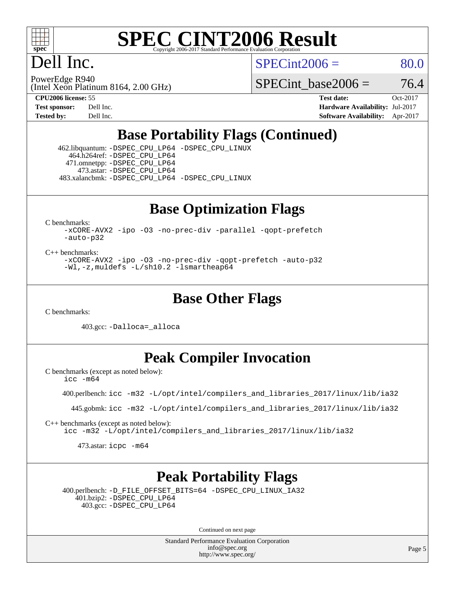

# Dell Inc.

 $SPECint2006 = 80.0$  $SPECint2006 = 80.0$ 

(Intel Xeon Platinum 8164, 2.00 GHz) PowerEdge R940

SPECint base2006 =  $76.4$ 

**[CPU2006 license:](http://www.spec.org/auto/cpu2006/Docs/result-fields.html#CPU2006license)** 55 **[Test date:](http://www.spec.org/auto/cpu2006/Docs/result-fields.html#Testdate)** Oct-2017 **[Test sponsor:](http://www.spec.org/auto/cpu2006/Docs/result-fields.html#Testsponsor)** Dell Inc. **[Hardware Availability:](http://www.spec.org/auto/cpu2006/Docs/result-fields.html#HardwareAvailability)** Jul-2017 **[Tested by:](http://www.spec.org/auto/cpu2006/Docs/result-fields.html#Testedby)** Dell Inc. **[Software Availability:](http://www.spec.org/auto/cpu2006/Docs/result-fields.html#SoftwareAvailability)** Apr-2017

### **[Base Portability Flags \(Continued\)](http://www.spec.org/auto/cpu2006/Docs/result-fields.html#BasePortabilityFlags)**

 462.libquantum: [-DSPEC\\_CPU\\_LP64](http://www.spec.org/cpu2006/results/res2017q4/cpu2006-20171030-50389.flags.html#suite_basePORTABILITY462_libquantum_DSPEC_CPU_LP64) [-DSPEC\\_CPU\\_LINUX](http://www.spec.org/cpu2006/results/res2017q4/cpu2006-20171030-50389.flags.html#b462.libquantum_baseCPORTABILITY_DSPEC_CPU_LINUX) 464.h264ref: [-DSPEC\\_CPU\\_LP64](http://www.spec.org/cpu2006/results/res2017q4/cpu2006-20171030-50389.flags.html#suite_basePORTABILITY464_h264ref_DSPEC_CPU_LP64) 471.omnetpp: [-DSPEC\\_CPU\\_LP64](http://www.spec.org/cpu2006/results/res2017q4/cpu2006-20171030-50389.flags.html#suite_basePORTABILITY471_omnetpp_DSPEC_CPU_LP64) 473.astar: [-DSPEC\\_CPU\\_LP64](http://www.spec.org/cpu2006/results/res2017q4/cpu2006-20171030-50389.flags.html#suite_basePORTABILITY473_astar_DSPEC_CPU_LP64) 483.xalancbmk: [-DSPEC\\_CPU\\_LP64](http://www.spec.org/cpu2006/results/res2017q4/cpu2006-20171030-50389.flags.html#suite_basePORTABILITY483_xalancbmk_DSPEC_CPU_LP64) [-DSPEC\\_CPU\\_LINUX](http://www.spec.org/cpu2006/results/res2017q4/cpu2006-20171030-50389.flags.html#b483.xalancbmk_baseCXXPORTABILITY_DSPEC_CPU_LINUX)

**[Base Optimization Flags](http://www.spec.org/auto/cpu2006/Docs/result-fields.html#BaseOptimizationFlags)**

[C benchmarks](http://www.spec.org/auto/cpu2006/Docs/result-fields.html#Cbenchmarks):

[-xCORE-AVX2](http://www.spec.org/cpu2006/results/res2017q4/cpu2006-20171030-50389.flags.html#user_CCbase_f-xCORE-AVX2) [-ipo](http://www.spec.org/cpu2006/results/res2017q4/cpu2006-20171030-50389.flags.html#user_CCbase_f-ipo) [-O3](http://www.spec.org/cpu2006/results/res2017q4/cpu2006-20171030-50389.flags.html#user_CCbase_f-O3) [-no-prec-div](http://www.spec.org/cpu2006/results/res2017q4/cpu2006-20171030-50389.flags.html#user_CCbase_f-no-prec-div) [-parallel](http://www.spec.org/cpu2006/results/res2017q4/cpu2006-20171030-50389.flags.html#user_CCbase_f-parallel) [-qopt-prefetch](http://www.spec.org/cpu2006/results/res2017q4/cpu2006-20171030-50389.flags.html#user_CCbase_f-qopt-prefetch) [-auto-p32](http://www.spec.org/cpu2006/results/res2017q4/cpu2006-20171030-50389.flags.html#user_CCbase_f-auto-p32)

[C++ benchmarks:](http://www.spec.org/auto/cpu2006/Docs/result-fields.html#CXXbenchmarks)

[-xCORE-AVX2](http://www.spec.org/cpu2006/results/res2017q4/cpu2006-20171030-50389.flags.html#user_CXXbase_f-xCORE-AVX2) [-ipo](http://www.spec.org/cpu2006/results/res2017q4/cpu2006-20171030-50389.flags.html#user_CXXbase_f-ipo) [-O3](http://www.spec.org/cpu2006/results/res2017q4/cpu2006-20171030-50389.flags.html#user_CXXbase_f-O3) [-no-prec-div](http://www.spec.org/cpu2006/results/res2017q4/cpu2006-20171030-50389.flags.html#user_CXXbase_f-no-prec-div) [-qopt-prefetch](http://www.spec.org/cpu2006/results/res2017q4/cpu2006-20171030-50389.flags.html#user_CXXbase_f-qopt-prefetch) [-auto-p32](http://www.spec.org/cpu2006/results/res2017q4/cpu2006-20171030-50389.flags.html#user_CXXbase_f-auto-p32) [-Wl,-z,muldefs](http://www.spec.org/cpu2006/results/res2017q4/cpu2006-20171030-50389.flags.html#user_CXXbase_link_force_multiple1_74079c344b956b9658436fd1b6dd3a8a) [-L/sh10.2 -lsmartheap64](http://www.spec.org/cpu2006/results/res2017q4/cpu2006-20171030-50389.flags.html#user_CXXbase_SmartHeap64_63911d860fc08c15fa1d5bf319b9d8d5)

**[Base Other Flags](http://www.spec.org/auto/cpu2006/Docs/result-fields.html#BaseOtherFlags)**

[C benchmarks](http://www.spec.org/auto/cpu2006/Docs/result-fields.html#Cbenchmarks):

403.gcc: [-Dalloca=\\_alloca](http://www.spec.org/cpu2006/results/res2017q4/cpu2006-20171030-50389.flags.html#b403.gcc_baseEXTRA_CFLAGS_Dalloca_be3056838c12de2578596ca5467af7f3)

#### **[Peak Compiler Invocation](http://www.spec.org/auto/cpu2006/Docs/result-fields.html#PeakCompilerInvocation)**

[C benchmarks \(except as noted below\)](http://www.spec.org/auto/cpu2006/Docs/result-fields.html#Cbenchmarksexceptasnotedbelow):

[icc -m64](http://www.spec.org/cpu2006/results/res2017q4/cpu2006-20171030-50389.flags.html#user_CCpeak_intel_icc_64bit_bda6cc9af1fdbb0edc3795bac97ada53)

400.perlbench: [icc -m32 -L/opt/intel/compilers\\_and\\_libraries\\_2017/linux/lib/ia32](http://www.spec.org/cpu2006/results/res2017q4/cpu2006-20171030-50389.flags.html#user_peakCCLD400_perlbench_intel_icc_c29f3ff5a7ed067b11e4ec10a03f03ae)

445.gobmk: [icc -m32 -L/opt/intel/compilers\\_and\\_libraries\\_2017/linux/lib/ia32](http://www.spec.org/cpu2006/results/res2017q4/cpu2006-20171030-50389.flags.html#user_peakCCLD445_gobmk_intel_icc_c29f3ff5a7ed067b11e4ec10a03f03ae)

[C++ benchmarks \(except as noted below\):](http://www.spec.org/auto/cpu2006/Docs/result-fields.html#CXXbenchmarksexceptasnotedbelow) [icc -m32 -L/opt/intel/compilers\\_and\\_libraries\\_2017/linux/lib/ia32](http://www.spec.org/cpu2006/results/res2017q4/cpu2006-20171030-50389.flags.html#user_CXXpeak_intel_icc_c29f3ff5a7ed067b11e4ec10a03f03ae)

473.astar: [icpc -m64](http://www.spec.org/cpu2006/results/res2017q4/cpu2006-20171030-50389.flags.html#user_peakCXXLD473_astar_intel_icpc_64bit_fc66a5337ce925472a5c54ad6a0de310)

### **[Peak Portability Flags](http://www.spec.org/auto/cpu2006/Docs/result-fields.html#PeakPortabilityFlags)**

 400.perlbench: [-D\\_FILE\\_OFFSET\\_BITS=64](http://www.spec.org/cpu2006/results/res2017q4/cpu2006-20171030-50389.flags.html#user_peakPORTABILITY400_perlbench_file_offset_bits_64_438cf9856305ebd76870a2c6dc2689ab) [-DSPEC\\_CPU\\_LINUX\\_IA32](http://www.spec.org/cpu2006/results/res2017q4/cpu2006-20171030-50389.flags.html#b400.perlbench_peakCPORTABILITY_DSPEC_CPU_LINUX_IA32) 401.bzip2: [-DSPEC\\_CPU\\_LP64](http://www.spec.org/cpu2006/results/res2017q4/cpu2006-20171030-50389.flags.html#suite_peakPORTABILITY401_bzip2_DSPEC_CPU_LP64) 403.gcc: [-DSPEC\\_CPU\\_LP64](http://www.spec.org/cpu2006/results/res2017q4/cpu2006-20171030-50389.flags.html#suite_peakPORTABILITY403_gcc_DSPEC_CPU_LP64)

Continued on next page

Standard Performance Evaluation Corporation [info@spec.org](mailto:info@spec.org) <http://www.spec.org/>

Page 5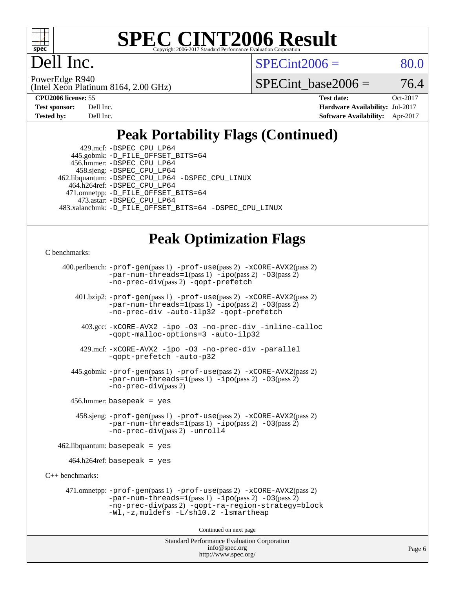

## ell Inc.

 $SPECint2006 = 80.0$  $SPECint2006 = 80.0$ 

(Intel Xeon Platinum 8164, 2.00 GHz) PowerEdge R940

SPECint base2006 =  $76.4$ 

| <b>Test sponsor:</b> | Dell Inc. |
|----------------------|-----------|
| <b>Tested by:</b>    | Dell Inc. |

**[CPU2006 license:](http://www.spec.org/auto/cpu2006/Docs/result-fields.html#CPU2006license)** 55 **[Test date:](http://www.spec.org/auto/cpu2006/Docs/result-fields.html#Testdate)** Oct-2017 **[Hardware Availability:](http://www.spec.org/auto/cpu2006/Docs/result-fields.html#HardwareAvailability)** Jul-2017 **[Software Availability:](http://www.spec.org/auto/cpu2006/Docs/result-fields.html#SoftwareAvailability)** Apr-2017

### **[Peak Portability Flags \(Continued\)](http://www.spec.org/auto/cpu2006/Docs/result-fields.html#PeakPortabilityFlags)**

 429.mcf: [-DSPEC\\_CPU\\_LP64](http://www.spec.org/cpu2006/results/res2017q4/cpu2006-20171030-50389.flags.html#suite_peakPORTABILITY429_mcf_DSPEC_CPU_LP64) 445.gobmk: [-D\\_FILE\\_OFFSET\\_BITS=64](http://www.spec.org/cpu2006/results/res2017q4/cpu2006-20171030-50389.flags.html#user_peakPORTABILITY445_gobmk_file_offset_bits_64_438cf9856305ebd76870a2c6dc2689ab) 456.hmmer: [-DSPEC\\_CPU\\_LP64](http://www.spec.org/cpu2006/results/res2017q4/cpu2006-20171030-50389.flags.html#suite_peakPORTABILITY456_hmmer_DSPEC_CPU_LP64) 458.sjeng: [-DSPEC\\_CPU\\_LP64](http://www.spec.org/cpu2006/results/res2017q4/cpu2006-20171030-50389.flags.html#suite_peakPORTABILITY458_sjeng_DSPEC_CPU_LP64) 462.libquantum: [-DSPEC\\_CPU\\_LP64](http://www.spec.org/cpu2006/results/res2017q4/cpu2006-20171030-50389.flags.html#suite_peakPORTABILITY462_libquantum_DSPEC_CPU_LP64) [-DSPEC\\_CPU\\_LINUX](http://www.spec.org/cpu2006/results/res2017q4/cpu2006-20171030-50389.flags.html#b462.libquantum_peakCPORTABILITY_DSPEC_CPU_LINUX) 464.h264ref: [-DSPEC\\_CPU\\_LP64](http://www.spec.org/cpu2006/results/res2017q4/cpu2006-20171030-50389.flags.html#suite_peakPORTABILITY464_h264ref_DSPEC_CPU_LP64) 471.omnetpp: [-D\\_FILE\\_OFFSET\\_BITS=64](http://www.spec.org/cpu2006/results/res2017q4/cpu2006-20171030-50389.flags.html#user_peakPORTABILITY471_omnetpp_file_offset_bits_64_438cf9856305ebd76870a2c6dc2689ab) 473.astar: [-DSPEC\\_CPU\\_LP64](http://www.spec.org/cpu2006/results/res2017q4/cpu2006-20171030-50389.flags.html#suite_peakPORTABILITY473_astar_DSPEC_CPU_LP64) 483.xalancbmk: [-D\\_FILE\\_OFFSET\\_BITS=64](http://www.spec.org/cpu2006/results/res2017q4/cpu2006-20171030-50389.flags.html#user_peakPORTABILITY483_xalancbmk_file_offset_bits_64_438cf9856305ebd76870a2c6dc2689ab) [-DSPEC\\_CPU\\_LINUX](http://www.spec.org/cpu2006/results/res2017q4/cpu2006-20171030-50389.flags.html#b483.xalancbmk_peakCXXPORTABILITY_DSPEC_CPU_LINUX)

#### **[Peak Optimization Flags](http://www.spec.org/auto/cpu2006/Docs/result-fields.html#PeakOptimizationFlags)**

```
C benchmarks:
```

```
 400.perlbench: -prof-gen(pass 1) -prof-use(pass 2) -xCORE-AVX2(pass 2)
                -par-num-threads=1-ipo-O3(pass 2)-no-prec-div(pass 2) -qopt-prefetch
        401.bzip2: -prof-gen(pass 1) -prof-use(pass 2) -xCORE-AVX2(pass 2)
                -par-num-threads=1(pass 1) -ipo(pass 2) -O3(pass 2)
                -no-prec-div -auto-ilp32 -qopt-prefetch
          403.gcc: -xCORE-AVX2 -ipo -O3 -no-prec-div -inline-calloc
                -qopt-malloc-options=3 -auto-ilp32
         429.mcf: -xCORE-AVX2 -ipo -O3 -no-prec-div -parallel
                -qopt-prefetch -auto-p32
       445.gobmk: -prof-gen(pass 1) -prof-use(pass 2) -xCORE-AVX2(pass 2)
                -par-num-threads=1(pass 1) -ipo(pass 2) -O3(pass 2)
               -no-prec-div(pass 2)
       456.hmmer: basepeak = yes
        458.sjeng: -prof-gen(pass 1) -prof-use(pass 2) -xCORE-AVX2(pass 2)
                -par-num-threads=1-ipo-O3(pass 2)-no-prec-div(pass 2) -unroll4
    462.libquantum: basepeak = yes
     464.h264ref: basepeak = yes
C++ benchmarks: 
      471.omnetpp: -prof-gen(pass 1) -prof-use(pass 2) -xCORE-AVX2(pass 2)
                -par-num-threads=1(pass 1) -ipo(pass 2) -O3(pass 2)
               -no-prec-div(pass 2) -qopt-ra-region-strategy=block
                -Wl,-z,muldefs -L/sh10.2 -lsmartheap
```
Continued on next page